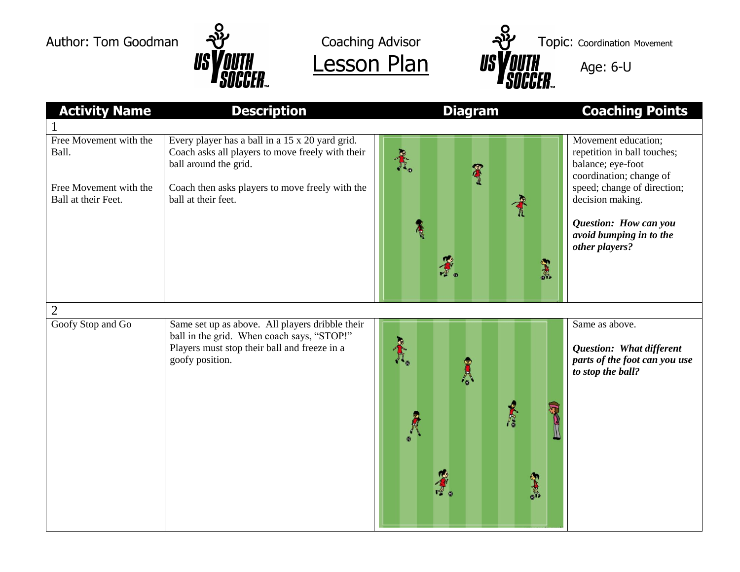



| <b>Activity Name</b>                          | <b>Description</b>                                                                                                                                               | <b>Diagram</b>                              | <b>Coaching Points</b>                                                                             |
|-----------------------------------------------|------------------------------------------------------------------------------------------------------------------------------------------------------------------|---------------------------------------------|----------------------------------------------------------------------------------------------------|
|                                               |                                                                                                                                                                  |                                             |                                                                                                    |
| Free Movement with the<br>Ball.               | Every player has a ball in a 15 x 20 yard grid.<br>Coach asks all players to move freely with their<br>ball around the grid.                                     | <b>AR</b><br>Ser                            | Movement education;<br>repetition in ball touches;<br>balance; eye-foot<br>coordination; change of |
| Free Movement with the<br>Ball at their Feet. | Coach then asks players to move freely with the<br>ball at their feet.                                                                                           |                                             | speed; change of direction;<br>decision making.                                                    |
|                                               |                                                                                                                                                                  | Ã<br><b>CASC</b>                            | Question: How can you<br>avoid bumping in to the<br>other players?                                 |
|                                               |                                                                                                                                                                  |                                             |                                                                                                    |
| $\overline{2}$<br>Goofy Stop and Go           | Same set up as above. All players dribble their<br>ball in the grid. When coach says, "STOP!"<br>Players must stop their ball and freeze in a<br>goofy position. | $\frac{1}{\hbar}$<br>A<br><b>REA</b><br>345 | Same as above.<br>Question: What different<br>parts of the foot can you use<br>to stop the ball?   |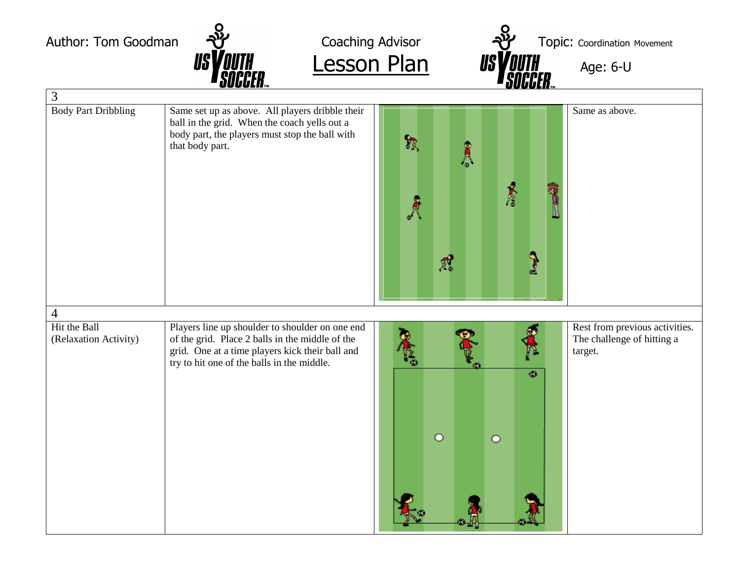Author: Tom Goodman  $\frac{1}{2}$  Coaching Advisor  $\frac{1}{2}$  Topic: Coordination Movement  $Lesson Plan$  *ISVOUTH*  $_{Age: 6-U}$ </u> 3 Body Part Dribbling Same set up as above. All players dribble their Same as above. ball in the grid. When the coach yells out a body part, the players must stop the ball with  $\gamma$ that body part. Å **REA** A  $\begin{array}{c}\n\bullet \\
\bullet\n\end{array}$  $\tilde{\mathbb{A}}$ 4 Hit the Ball Rest from previous activities. Players line up shoulder to shoulder on one end of the grid. Place 2 balls in the middle of the The challenge of hitting a (Relaxation Activity) grid. One at a time players kick their ball and target. try to hit one of the balls in the middle. ۰  $\circ$  $\circ$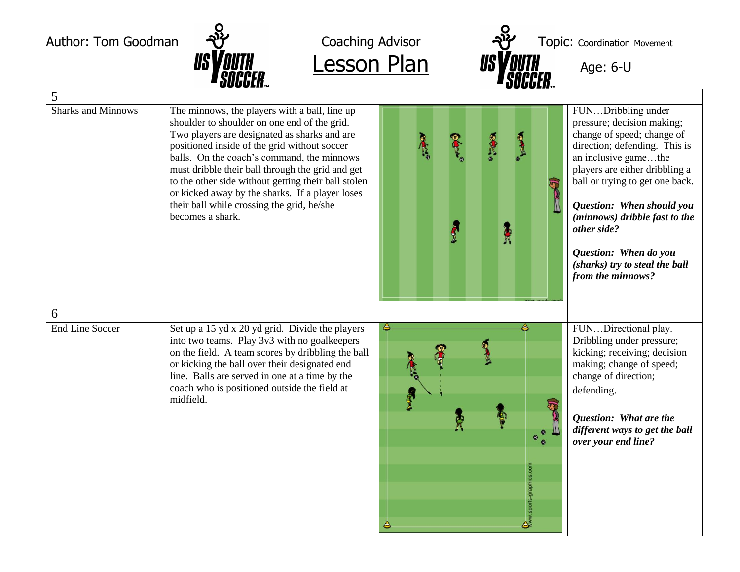



| 5                         |                                                                                                                                                                                                                                                                                                                                                                                                                                                                             |                                                                                     |                                                                                                                                                                                                                                                                                                                                                                           |
|---------------------------|-----------------------------------------------------------------------------------------------------------------------------------------------------------------------------------------------------------------------------------------------------------------------------------------------------------------------------------------------------------------------------------------------------------------------------------------------------------------------------|-------------------------------------------------------------------------------------|---------------------------------------------------------------------------------------------------------------------------------------------------------------------------------------------------------------------------------------------------------------------------------------------------------------------------------------------------------------------------|
| <b>Sharks and Minnows</b> | The minnows, the players with a ball, line up<br>shoulder to shoulder on one end of the grid.<br>Two players are designated as sharks and are<br>positioned inside of the grid without soccer<br>balls. On the coach's command, the minnows<br>must dribble their ball through the grid and get<br>to the other side without getting their ball stolen<br>or kicked away by the sharks. If a player loses<br>their ball while crossing the grid, he/she<br>becomes a shark. | Å                                                                                   | FUNDribbling under<br>pressure; decision making;<br>change of speed; change of<br>direction; defending. This is<br>an inclusive gamethe<br>players are either dribbling a<br>ball or trying to get one back.<br>Question: When should you<br>(minnows) dribble fast to the<br>other side?<br>Question: When do you<br>(sharks) try to steal the ball<br>from the minnows? |
| 6                         |                                                                                                                                                                                                                                                                                                                                                                                                                                                                             |                                                                                     |                                                                                                                                                                                                                                                                                                                                                                           |
| <b>End Line Soccer</b>    | Set up a 15 yd x 20 yd grid. Divide the players<br>into two teams. Play 3v3 with no goalkeepers<br>on the field. A team scores by dribbling the ball<br>or kicking the ball over their designated end<br>line. Balls are served in one at a time by the<br>coach who is positioned outside the field at<br>midfield.                                                                                                                                                        | ê<br><b>COL</b><br>$\frac{\circ}{\circ}$ $\frac{\circ}{\circ}$<br><b>Controller</b> | FUNDirectional play.<br>Dribbling under pressure;<br>kicking; receiving; decision<br>making; change of speed;<br>change of direction;<br>defending.<br>Question: What are the<br>different ways to get the ball<br>over your end line?                                                                                                                                    |